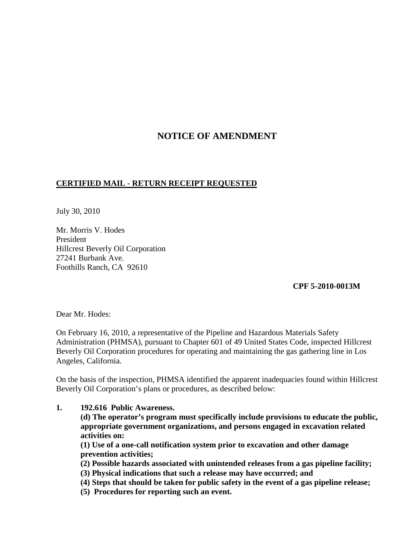## **NOTICE OF AMENDMENT**

## **CERTIFIED MAIL - RETURN RECEIPT REQUESTED**

July 30, 2010

Mr. Morris V. Hodes President Hillcrest Beverly Oil Corporation 27241 Burbank Ave. Foothills Ranch, CA 92610

 **CPF 5-2010-0013M**

Dear Mr. Hodes:

On February 16, 2010, a representative of the Pipeline and Hazardous Materials Safety Administration (PHMSA), pursuant to Chapter 601 of 49 United States Code, inspected Hillcrest Beverly Oil Corporation procedures for operating and maintaining the gas gathering line in Los Angeles, California.

On the basis of the inspection, PHMSA identified the apparent inadequacies found within Hillcrest Beverly Oil Corporation's plans or procedures, as described below:

## **1. 192.616 Public Awareness.**

**(d) The operator's program must specifically include provisions to educate the public, appropriate government organizations, and persons engaged in excavation related activities on:**

**(1) Use of a one-call notification system prior to excavation and other damage prevention activities;**

**(2) Possible hazards associated with unintended releases from a gas pipeline facility;**

- **(3) Physical indications that such a release may have occurred; and**
- **(4) Steps that should be taken for public safety in the event of a gas pipeline release;**
- **(5) Procedures for reporting such an event.**